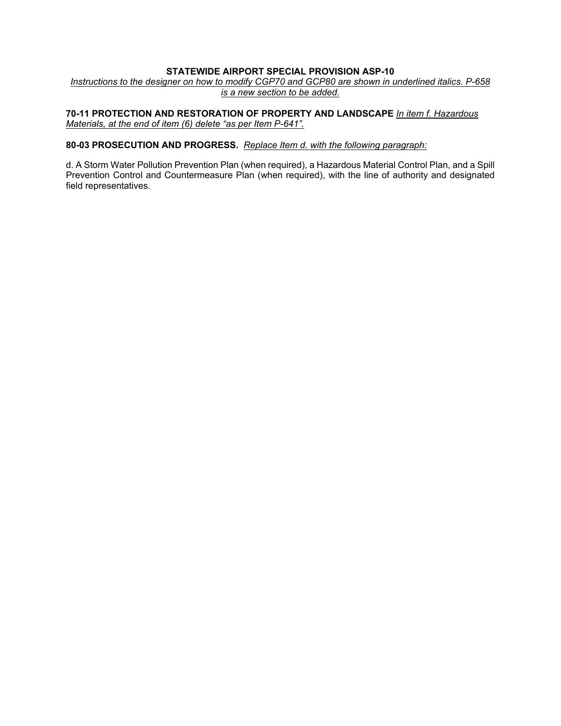# **STATEWIDE AIRPORT SPECIAL PROVISION ASP-10**

*Instructions to the designer on how to modify CGP70 and GCP80 are shown in underlined italics. P-658 is a new section to be added.*

**70-11 PROTECTION AND RESTORATION OF PROPERTY AND LANDSCAPE** *In item f. Hazardous Materials, at the end of item (6) delete "as per Item P-641".*

### **80-03 PROSECUTION AND PROGRESS.** *Replace Item d. with the following paragraph:*

d. A Storm Water Pollution Prevention Plan (when required), a Hazardous Material Control Plan, and a Spill Prevention Control and Countermeasure Plan (when required), with the line of authority and designated field representatives.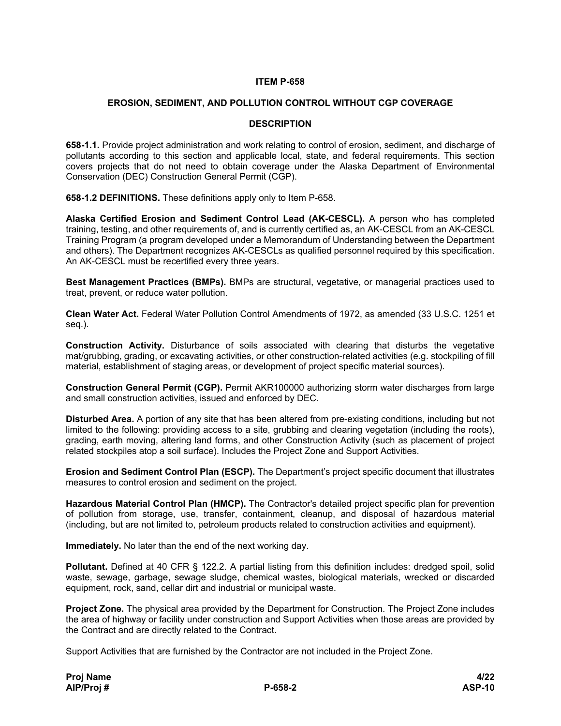# **ITEM P-658**

## **EROSION, SEDIMENT, AND POLLUTION CONTROL WITHOUT CGP COVERAGE**

## **DESCRIPTION**

**658-1.1.** Provide project administration and work relating to control of erosion, sediment, and discharge of pollutants according to this section and applicable local, state, and federal requirements. This section covers projects that do not need to obtain coverage under the Alaska Department of Environmental Conservation (DEC) Construction General Permit (CGP).

**658-1.2 DEFINITIONS.** These definitions apply only to Item P-658.

**Alaska Certified Erosion and Sediment Control Lead (AK-CESCL).** A person who has completed training, testing, and other requirements of, and is currently certified as, an AK-CESCL from an AK-CESCL Training Program (a program developed under a Memorandum of Understanding between the Department and others). The Department recognizes AK-CESCLs as qualified personnel required by this specification. An AK-CESCL must be recertified every three years.

**Best Management Practices (BMPs).** BMPs are structural, vegetative, or managerial practices used to treat, prevent, or reduce water pollution.

**Clean Water Act.** Federal Water Pollution Control Amendments of 1972, as amended (33 U.S.C. 1251 et seq.).

**Construction Activity.** Disturbance of soils associated with clearing that disturbs the vegetative mat/grubbing, grading, or excavating activities, or other construction-related activities (e.g. stockpiling of fill material, establishment of staging areas, or development of project specific material sources).

**Construction General Permit (CGP).** Permit AKR100000 authorizing storm water discharges from large and small construction activities, issued and enforced by DEC.

**Disturbed Area.** A portion of any site that has been altered from pre-existing conditions, including but not limited to the following: providing access to a site, grubbing and clearing vegetation (including the roots), grading, earth moving, altering land forms, and other Construction Activity (such as placement of project related stockpiles atop a soil surface). Includes the Project Zone and Support Activities.

**Erosion and Sediment Control Plan (ESCP).** The Department's project specific document that illustrates measures to control erosion and sediment on the project.

**Hazardous Material Control Plan (HMCP).** The Contractor's detailed project specific plan for prevention of pollution from storage, use, transfer, containment, cleanup, and disposal of hazardous material (including, but are not limited to, petroleum products related to construction activities and equipment).

**Immediately.** No later than the end of the next working day.

**Pollutant.** Defined at 40 CFR § 122.2. A partial listing from this definition includes: dredged spoil, solid waste, sewage, garbage, sewage sludge, chemical wastes, biological materials, wrecked or discarded equipment, rock, sand, cellar dirt and industrial or municipal waste.

**Project Zone.** The physical area provided by the Department for Construction. The Project Zone includes the area of highway or facility under construction and Support Activities when those areas are provided by the Contract and are directly related to the Contract.

Support Activities that are furnished by the Contractor are not included in the Project Zone.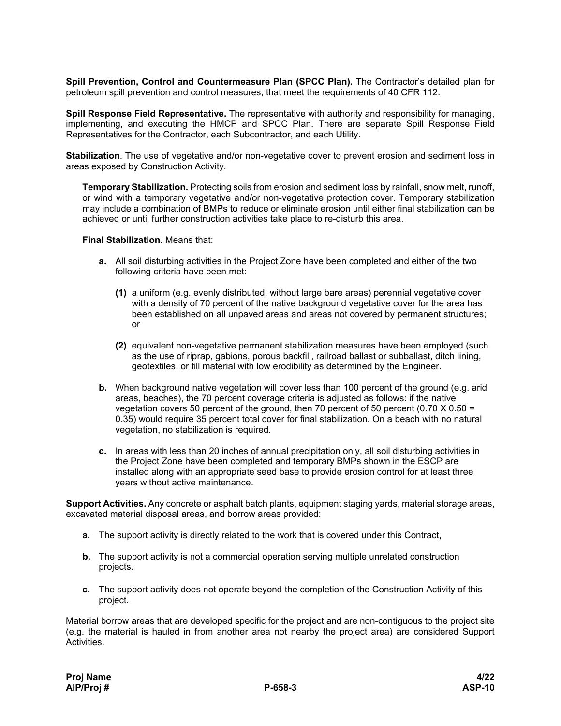**Spill Prevention, Control and Countermeasure Plan (SPCC Plan).** The Contractor's detailed plan for petroleum spill prevention and control measures, that meet the requirements of 40 CFR 112.

**Spill Response Field Representative.** The representative with authority and responsibility for managing, implementing, and executing the HMCP and SPCC Plan. There are separate Spill Response Field Representatives for the Contractor, each Subcontractor, and each Utility.

**Stabilization**. The use of vegetative and/or non-vegetative cover to prevent erosion and sediment loss in areas exposed by Construction Activity.

**Temporary Stabilization.** Protecting soils from erosion and sediment loss by rainfall, snow melt, runoff, or wind with a temporary vegetative and/or non-vegetative protection cover. Temporary stabilization may include a combination of BMPs to reduce or eliminate erosion until either final stabilization can be achieved or until further construction activities take place to re-disturb this area.

#### **Final Stabilization.** Means that:

- **a.** All soil disturbing activities in the Project Zone have been completed and either of the two following criteria have been met:
	- **(1)** a uniform (e.g. evenly distributed, without large bare areas) perennial vegetative cover with a density of 70 percent of the native background vegetative cover for the area has been established on all unpaved areas and areas not covered by permanent structures; or
	- **(2)** equivalent non-vegetative permanent stabilization measures have been employed (such as the use of riprap, gabions, porous backfill, railroad ballast or subballast, ditch lining, geotextiles, or fill material with low erodibility as determined by the Engineer.
- **b.** When background native vegetation will cover less than 100 percent of the ground (e.g. arid areas, beaches), the 70 percent coverage criteria is adjusted as follows: if the native vegetation covers 50 percent of the ground, then 70 percent of 50 percent  $(0.70 \times 0.50 =$ 0.35) would require 35 percent total cover for final stabilization. On a beach with no natural vegetation, no stabilization is required.
- **c.** In areas with less than 20 inches of annual precipitation only, all soil disturbing activities in the Project Zone have been completed and temporary BMPs shown in the ESCP are installed along with an appropriate seed base to provide erosion control for at least three years without active maintenance.

**Support Activities.** Any concrete or asphalt batch plants, equipment staging yards, material storage areas, excavated material disposal areas, and borrow areas provided:

- **a.** The support activity is directly related to the work that is covered under this Contract,
- **b.** The support activity is not a commercial operation serving multiple unrelated construction projects.
- **c.** The support activity does not operate beyond the completion of the Construction Activity of this project.

Material borrow areas that are developed specific for the project and are non-contiguous to the project site (e.g. the material is hauled in from another area not nearby the project area) are considered Support Activities.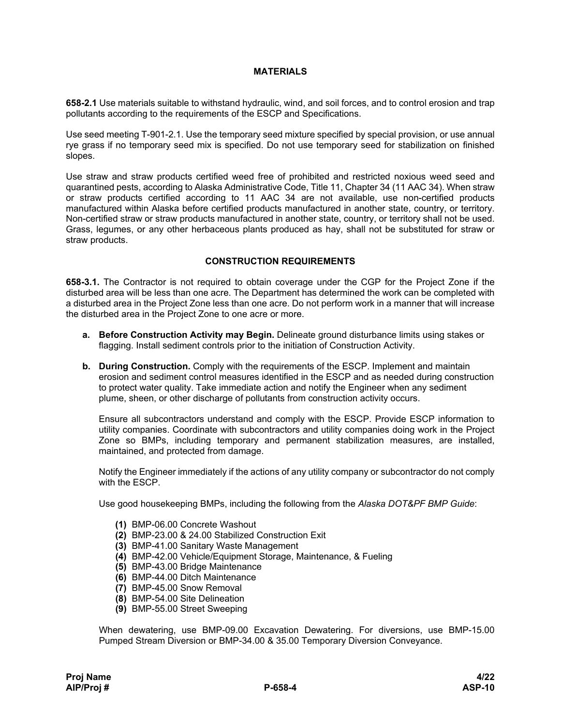# **MATERIALS**

**658-2.1** Use materials suitable to withstand hydraulic, wind, and soil forces, and to control erosion and trap pollutants according to the requirements of the ESCP and Specifications.

Use seed meeting T-901-2.1. Use the temporary seed mixture specified by special provision, or use annual rye grass if no temporary seed mix is specified. Do not use temporary seed for stabilization on finished slopes.

Use straw and straw products certified weed free of prohibited and restricted noxious weed seed and quarantined pests, according to Alaska Administrative Code, Title 11, Chapter 34 (11 AAC 34). When straw or straw products certified according to 11 AAC 34 are not available, use non-certified products manufactured within Alaska before certified products manufactured in another state, country, or territory. Non-certified straw or straw products manufactured in another state, country, or territory shall not be used. Grass, legumes, or any other herbaceous plants produced as hay, shall not be substituted for straw or straw products.

## **CONSTRUCTION REQUIREMENTS**

**658-3.1.** The Contractor is not required to obtain coverage under the CGP for the Project Zone if the disturbed area will be less than one acre. The Department has determined the work can be completed with a disturbed area in the Project Zone less than one acre. Do not perform work in a manner that will increase the disturbed area in the Project Zone to one acre or more.

- **a. Before Construction Activity may Begin.** Delineate ground disturbance limits using stakes or flagging. Install sediment controls prior to the initiation of Construction Activity.
- **b. During Construction.** Comply with the requirements of the ESCP. Implement and maintain erosion and sediment control measures identified in the ESCP and as needed during construction to protect water quality. Take immediate action and notify the Engineer when any sediment plume, sheen, or other discharge of pollutants from construction activity occurs.

Ensure all subcontractors understand and comply with the ESCP. Provide ESCP information to utility companies. Coordinate with subcontractors and utility companies doing work in the Project Zone so BMPs, including temporary and permanent stabilization measures, are installed, maintained, and protected from damage.

Notify the Engineer immediately if the actions of any utility company or subcontractor do not comply with the ESCP.

Use good housekeeping BMPs, including the following from the *Alaska DOT&PF BMP Guide*:

- **(1)** BMP-06.00 Concrete Washout
- **(2)** BMP-23.00 & 24.00 Stabilized Construction Exit
- **(3)** BMP-41.00 Sanitary Waste Management
- **(4)** BMP-42.00 Vehicle/Equipment Storage, Maintenance, & Fueling
- **(5)** BMP-43.00 Bridge Maintenance
- **(6)** BMP-44.00 Ditch Maintenance
- **(7)** BMP-45.00 Snow Removal
- **(8)** BMP-54.00 Site Delineation
- **(9)** BMP-55.00 Street Sweeping

When dewatering, use BMP-09.00 Excavation Dewatering. For diversions, use BMP-15.00 Pumped Stream Diversion or BMP-34.00 & 35.00 Temporary Diversion Conveyance.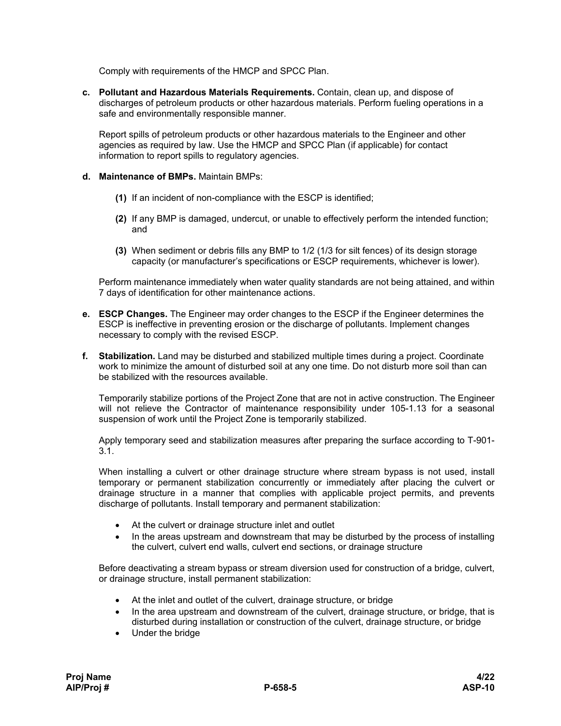Comply with requirements of the HMCP and SPCC Plan.

**c. Pollutant and Hazardous Materials Requirements.** Contain, clean up, and dispose of discharges of petroleum products or other hazardous materials. Perform fueling operations in a safe and environmentally responsible manner.

Report spills of petroleum products or other hazardous materials to the Engineer and other agencies as required by law. Use the HMCP and SPCC Plan (if applicable) for contact information to report spills to regulatory agencies.

## **d. Maintenance of BMPs.** Maintain BMPs:

- **(1)** If an incident of non-compliance with the ESCP is identified;
- **(2)** If any BMP is damaged, undercut, or unable to effectively perform the intended function; and
- **(3)** When sediment or debris fills any BMP to 1/2 (1/3 for silt fences) of its design storage capacity (or manufacturer's specifications or ESCP requirements, whichever is lower).

Perform maintenance immediately when water quality standards are not being attained, and within 7 days of identification for other maintenance actions.

- **e. ESCP Changes.** The Engineer may order changes to the ESCP if the Engineer determines the ESCP is ineffective in preventing erosion or the discharge of pollutants. Implement changes necessary to comply with the revised ESCP.
- **f. Stabilization.** Land may be disturbed and stabilized multiple times during a project. Coordinate work to minimize the amount of disturbed soil at any one time. Do not disturb more soil than can be stabilized with the resources available.

Temporarily stabilize portions of the Project Zone that are not in active construction. The Engineer will not relieve the Contractor of maintenance responsibility under 105-1.13 for a seasonal suspension of work until the Project Zone is temporarily stabilized.

Apply temporary seed and stabilization measures after preparing the surface according to T-901- 3.1.

When installing a culvert or other drainage structure where stream bypass is not used, install temporary or permanent stabilization concurrently or immediately after placing the culvert or drainage structure in a manner that complies with applicable project permits, and prevents discharge of pollutants. Install temporary and permanent stabilization:

- At the culvert or drainage structure inlet and outlet
- In the areas upstream and downstream that may be disturbed by the process of installing the culvert, culvert end walls, culvert end sections, or drainage structure

Before deactivating a stream bypass or stream diversion used for construction of a bridge, culvert, or drainage structure, install permanent stabilization:

- At the inlet and outlet of the culvert, drainage structure, or bridge
- In the area upstream and downstream of the culvert, drainage structure, or bridge, that is disturbed during installation or construction of the culvert, drainage structure, or bridge
- Under the bridge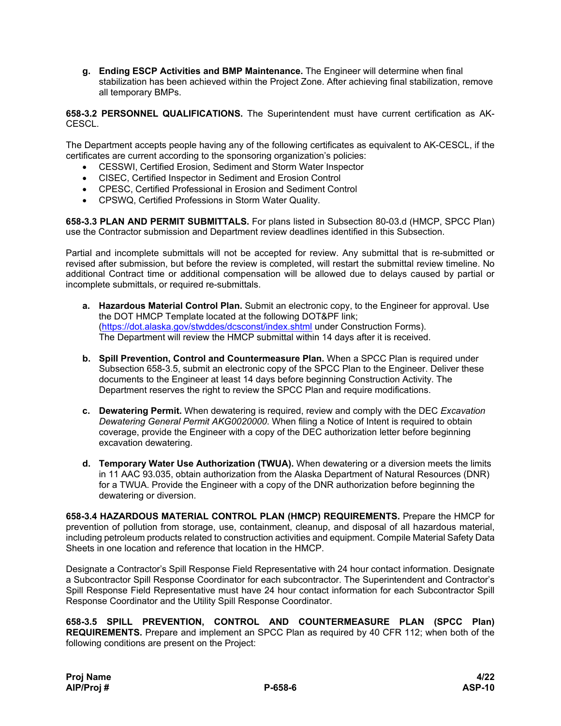**g. Ending ESCP Activities and BMP Maintenance.** The Engineer will determine when final stabilization has been achieved within the Project Zone. After achieving final stabilization, remove all temporary BMPs.

**658-3.2 PERSONNEL QUALIFICATIONS.** The Superintendent must have current certification as AK-CESCL.

The Department accepts people having any of the following certificates as equivalent to AK-CESCL, if the certificates are current according to the sponsoring organization's policies:

- CESSWI, Certified Erosion, Sediment and Storm Water Inspector
- CISEC, Certified Inspector in Sediment and Erosion Control
- CPESC, Certified Professional in Erosion and Sediment Control
- CPSWQ, Certified Professions in Storm Water Quality.

**658-3.3 PLAN AND PERMIT SUBMITTALS.** For plans listed in Subsection 80-03.d (HMCP, SPCC Plan) use the Contractor submission and Department review deadlines identified in this Subsection.

Partial and incomplete submittals will not be accepted for review. Any submittal that is re-submitted or revised after submission, but before the review is completed, will restart the submittal review timeline. No additional Contract time or additional compensation will be allowed due to delays caused by partial or incomplete submittals, or required re-submittals.

- **a. Hazardous Material Control Plan.** Submit an electronic copy, to the Engineer for approval. Use the DOT HMCP Template located at the following DOT&PF link; [\(https://dot.alaska.gov/stwddes/dcsconst/index.shtml](https://dot.alaska.gov/stwddes/dcsconst/index.shtml) under Construction Forms). The Department will review the HMCP submittal within 14 days after it is received.
- **b. Spill Prevention, Control and Countermeasure Plan.** When a SPCC Plan is required under Subsection 658-3.5, submit an electronic copy of the SPCC Plan to the Engineer. Deliver these documents to the Engineer at least 14 days before beginning Construction Activity. The Department reserves the right to review the SPCC Plan and require modifications.
- **c. Dewatering Permit.** When dewatering is required, review and comply with the DEC *Excavation Dewatering General Permit AKG0020000*. When filing a Notice of Intent is required to obtain coverage, provide the Engineer with a copy of the DEC authorization letter before beginning excavation dewatering.
- **d. Temporary Water Use Authorization (TWUA).** When dewatering or a diversion meets the limits in 11 AAC 93.035, obtain authorization from the Alaska Department of Natural Resources (DNR) for a TWUA. Provide the Engineer with a copy of the DNR authorization before beginning the dewatering or diversion.

**658-3.4 HAZARDOUS MATERIAL CONTROL PLAN (HMCP) REQUIREMENTS.** Prepare the HMCP for prevention of pollution from storage, use, containment, cleanup, and disposal of all hazardous material, including petroleum products related to construction activities and equipment. Compile Material Safety Data Sheets in one location and reference that location in the HMCP.

Designate a Contractor's Spill Response Field Representative with 24 hour contact information. Designate a Subcontractor Spill Response Coordinator for each subcontractor. The Superintendent and Contractor's Spill Response Field Representative must have 24 hour contact information for each Subcontractor Spill Response Coordinator and the Utility Spill Response Coordinator.

**658-3.5 SPILL PREVENTION, CONTROL AND COUNTERMEASURE PLAN (SPCC Plan) REQUIREMENTS.** Prepare and implement an SPCC Plan as required by 40 CFR 112; when both of the following conditions are present on the Project: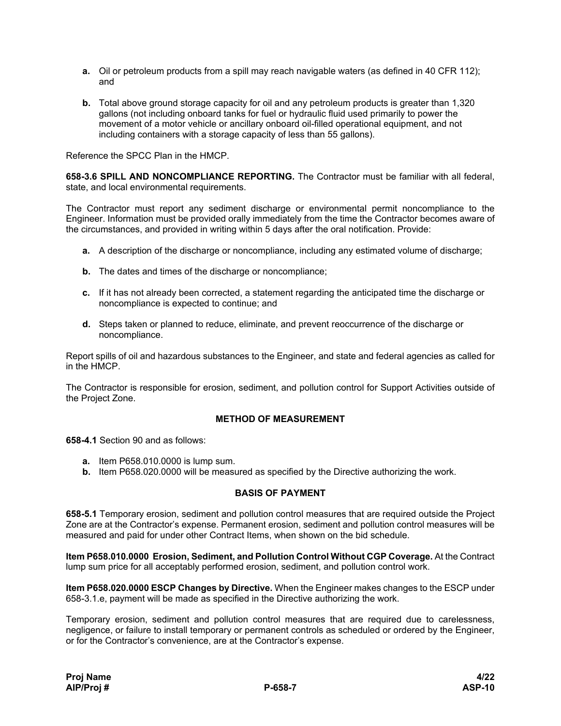- **a.** Oil or petroleum products from a spill may reach navigable waters (as defined in 40 CFR 112); and
- **b.** Total above ground storage capacity for oil and any petroleum products is greater than 1,320 gallons (not including onboard tanks for fuel or hydraulic fluid used primarily to power the movement of a motor vehicle or ancillary onboard oil-filled operational equipment, and not including containers with a storage capacity of less than 55 gallons).

Reference the SPCC Plan in the HMCP.

**658-3.6 SPILL AND NONCOMPLIANCE REPORTING.** The Contractor must be familiar with all federal, state, and local environmental requirements.

The Contractor must report any sediment discharge or environmental permit noncompliance to the Engineer. Information must be provided orally immediately from the time the Contractor becomes aware of the circumstances, and provided in writing within 5 days after the oral notification. Provide:

- **a.** A description of the discharge or noncompliance, including any estimated volume of discharge;
- **b.** The dates and times of the discharge or noncompliance;
- **c.** If it has not already been corrected, a statement regarding the anticipated time the discharge or noncompliance is expected to continue; and
- **d.** Steps taken or planned to reduce, eliminate, and prevent reoccurrence of the discharge or noncompliance.

Report spills of oil and hazardous substances to the Engineer, and state and federal agencies as called for in the HMCP.

The Contractor is responsible for erosion, sediment, and pollution control for Support Activities outside of the Project Zone.

### **METHOD OF MEASUREMENT**

**658-4.1** Section 90 and as follows:

- **a.** Item P658.010.0000 is lump sum.
- **b.** Item P658.020.0000 will be measured as specified by the Directive authorizing the work.

#### **BASIS OF PAYMENT**

**658-5.1** Temporary erosion, sediment and pollution control measures that are required outside the Project Zone are at the Contractor's expense. Permanent erosion, sediment and pollution control measures will be measured and paid for under other Contract Items, when shown on the bid schedule.

**Item P658.010.0000 Erosion, Sediment, and Pollution Control Without CGP Coverage.** At the Contract lump sum price for all acceptably performed erosion, sediment, and pollution control work.

**Item P658.020.0000 ESCP Changes by Directive.** When the Engineer makes changes to the ESCP under 658-3.1.e, payment will be made as specified in the Directive authorizing the work.

Temporary erosion, sediment and pollution control measures that are required due to carelessness, negligence, or failure to install temporary or permanent controls as scheduled or ordered by the Engineer, or for the Contractor's convenience, are at the Contractor's expense.